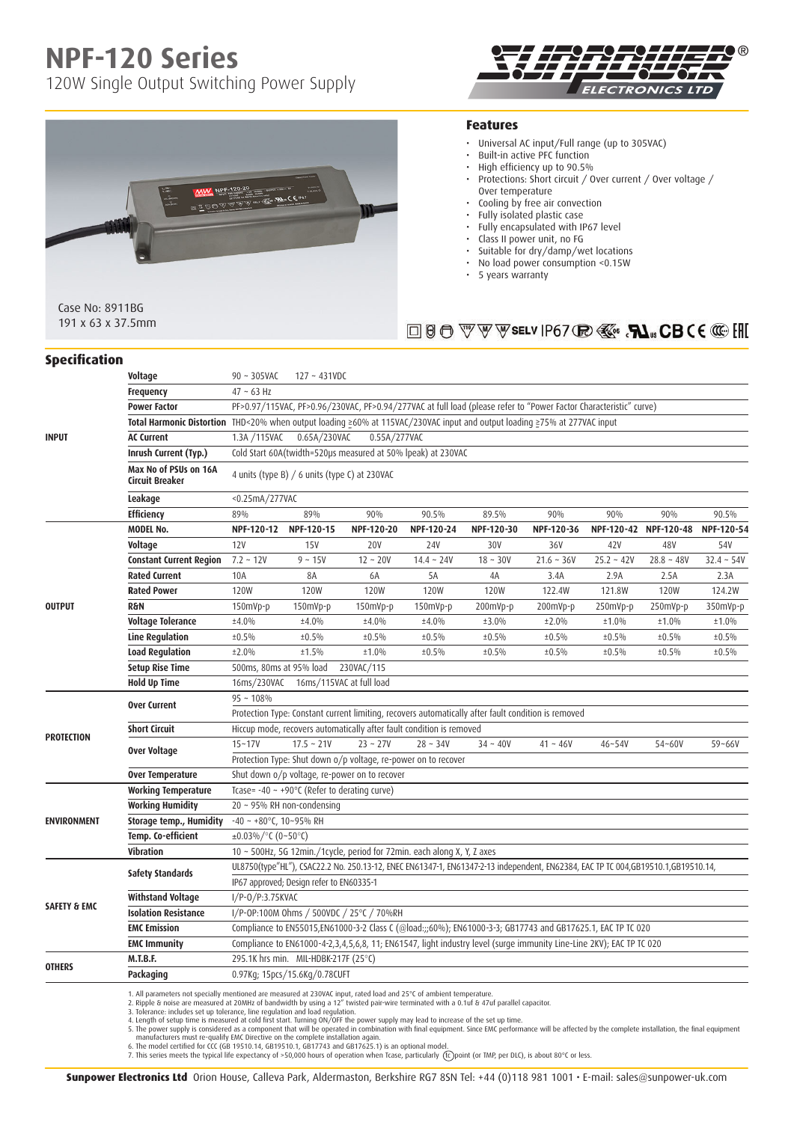# **NPF-120 Series**

120W Single Output Switching Power Supply





#### **Features**

- Universal AC input/Full range (up to 305VAC)
- Built-in active PFC function
- High efficiency up to 90.5%
- Protections: Short circuit / Over current / Over voltage /
- Over temperature Cooling by free air convection
- 
- • Fully isolated plastic case
- Fully encapsulated with IP67 level Class II power unit, no FG
- 
- Suitable for dry/damp/wet locations<br>• No load power consumption <0.15W • No load power consumption <0.15W
- • 5 years warranty

#### Case No: 8911BG 191 x 63 x 37.5mm

# **□ 8 + V V SELV IP67 ® Ses . FL GBCE CO FHI**

### **Specification**

| <b>INPUT</b>            | Voltage                                                                                                                                                                                                                                                         | $90 - 305$ VAC                                                                                                                                                               | $127 - 431VDC$                |             |              |             |              |              |              |              |
|-------------------------|-----------------------------------------------------------------------------------------------------------------------------------------------------------------------------------------------------------------------------------------------------------------|------------------------------------------------------------------------------------------------------------------------------------------------------------------------------|-------------------------------|-------------|--------------|-------------|--------------|--------------|--------------|--------------|
|                         | Frequency                                                                                                                                                                                                                                                       | $47 - 63$ Hz                                                                                                                                                                 |                               |             |              |             |              |              |              |              |
|                         | <b>Power Factor</b>                                                                                                                                                                                                                                             | PF>0.97/115VAC, PF>0.96/230VAC, PF>0.94/277VAC at full load (please refer to "Power Factor Characteristic" curve)                                                            |                               |             |              |             |              |              |              |              |
|                         |                                                                                                                                                                                                                                                                 | Total Harmonic Distortion THD<20% when output loading ≥60% at 115VAC/230VAC input and output loading ≥75% at 277VAC input                                                    |                               |             |              |             |              |              |              |              |
|                         | <b>AC Current</b>                                                                                                                                                                                                                                               | 0.65A/230VAC<br>0.55A/277VAC<br>1.3A /115VAC                                                                                                                                 |                               |             |              |             |              |              |              |              |
|                         | Inrush Current (Typ.)                                                                                                                                                                                                                                           | Cold Start 60A(twidth=520µs measured at 50% lpeak) at 230VAC                                                                                                                 |                               |             |              |             |              |              |              |              |
|                         | Max No of PSUs on 16A<br><b>Circuit Breaker</b>                                                                                                                                                                                                                 | 4 units (type B) / 6 units (type C) at 230VAC                                                                                                                                |                               |             |              |             |              |              |              |              |
|                         | Leakage                                                                                                                                                                                                                                                         | $<$ 0.25mA/277VAC                                                                                                                                                            |                               |             |              |             |              |              |              |              |
|                         | <b>Efficiency</b>                                                                                                                                                                                                                                               | 89%                                                                                                                                                                          | 89%                           | 90%         | 90.5%        | 89.5%       | 90%          | 90%          | 90%          | 90.5%        |
| <b>OUTPUT</b>           | <b>MODEL No.</b>                                                                                                                                                                                                                                                | NPF-120-12                                                                                                                                                                   | NPF-120-15                    | NPF-120-20  | NPF-120-24   | NPF-120-30  | NPF-120-36   | NPF-120-42   | NPF-120-48   | NPF-120-54   |
|                         | Voltage                                                                                                                                                                                                                                                         | 12V                                                                                                                                                                          | <b>15V</b>                    | 20V         | 24V          | 30V         | 36V          | 42 V         | 48V          | 54V          |
|                         | <b>Constant Current Region</b>                                                                                                                                                                                                                                  | $7.2 - 12V$                                                                                                                                                                  | $9 - 15V$                     | $12 - 20V$  | $14.4 - 24V$ | $18 - 30V$  | $21.6 - 36V$ | $25.2 - 42V$ | $28.8 - 48V$ | $32.4 - 54V$ |
|                         | <b>Rated Current</b>                                                                                                                                                                                                                                            | 10A                                                                                                                                                                          | 8A                            | 6A          | 5A           | 4A          | 3.4A         | 2.9A         | 2.5A         | 2.3A         |
|                         | <b>Rated Power</b>                                                                                                                                                                                                                                              | <b>120W</b>                                                                                                                                                                  | <b>120W</b>                   | <b>120W</b> | <b>120W</b>  | <b>120W</b> | 122.4W       | 121.8W       | <b>120W</b>  | 124.2W       |
|                         | R&N                                                                                                                                                                                                                                                             | 150mVp-p                                                                                                                                                                     | 150mVp-p                      | 150mVp-p    | 150mVp-p     | 200mVp-p    | 200mVp-p     | 250mVp-p     | 250mVp-p     | 350mVp-p     |
|                         | Voltage Tolerance                                                                                                                                                                                                                                               | ±4.0%                                                                                                                                                                        | ±4.0%                         | ±4.0%       | ±4.0%        | ±3.0%       | ±2.0%        | ±1.0%        | ±1.0%        | ±1.0%        |
|                         | Line Regulation                                                                                                                                                                                                                                                 | ±0.5%                                                                                                                                                                        | ±0.5%                         | ±0.5%       | ±0.5%        | ±0.5%       | ±0.5%        | ±0.5%        | ±0.5%        | ±0.5%        |
|                         | <b>Load Regulation</b>                                                                                                                                                                                                                                          | ±2.0%                                                                                                                                                                        | ±1.5%                         | ±1.0%       | ±0.5%        | ±0.5%       | ±0.5%        | ±0.5%        | ±0.5%        | ±0.5%        |
|                         | <b>Setup Rise Time</b>                                                                                                                                                                                                                                          | 500ms, 80ms at 95% load<br>230VAC/115                                                                                                                                        |                               |             |              |             |              |              |              |              |
|                         | <b>Hold Up Time</b>                                                                                                                                                                                                                                             | 16ms/230VAC                                                                                                                                                                  | 16ms/115VAC at full load      |             |              |             |              |              |              |              |
| <b>PROTECTION</b>       | <b>Over Current</b>                                                                                                                                                                                                                                             | $95 - 108%$                                                                                                                                                                  |                               |             |              |             |              |              |              |              |
|                         |                                                                                                                                                                                                                                                                 | Protection Type: Constant current limiting, recovers automatically after fault condition is removed                                                                          |                               |             |              |             |              |              |              |              |
|                         | <b>Short Circuit</b>                                                                                                                                                                                                                                            | Hiccup mode, recovers automatically after fault condition is removed                                                                                                         |                               |             |              |             |              |              |              |              |
|                         | Over Voltage                                                                                                                                                                                                                                                    | $15 - 17V$                                                                                                                                                                   | $17.5 - 21V$                  | $23 - 27V$  | $28 - 34V$   | $34 - 40V$  | $41 - 46V$   | 46~54V       | 54~60V       | 59~66V       |
|                         |                                                                                                                                                                                                                                                                 | Protection Type: Shut down o/p voltage, re-power on to recover                                                                                                               |                               |             |              |             |              |              |              |              |
|                         | <b>Over Temperature</b>                                                                                                                                                                                                                                         | Shut down o/p voltage, re-power on to recover                                                                                                                                |                               |             |              |             |              |              |              |              |
| <b>ENVIRONMENT</b>      | <b>Working Temperature</b>                                                                                                                                                                                                                                      | Tcase= $-40 \sim +90$ °C (Refer to derating curve)                                                                                                                           |                               |             |              |             |              |              |              |              |
|                         | <b>Working Humidity</b>                                                                                                                                                                                                                                         | $20 \sim 95\%$ RH non-condensing                                                                                                                                             |                               |             |              |             |              |              |              |              |
|                         | <b>Storage temp., Humidity</b>                                                                                                                                                                                                                                  | $-40 \sim +80^{\circ}$ C, 10~95% RH                                                                                                                                          |                               |             |              |             |              |              |              |              |
|                         | Temp. Co-efficient                                                                                                                                                                                                                                              | $\pm 0.03\%$ /°C (0~50°C)                                                                                                                                                    |                               |             |              |             |              |              |              |              |
|                         | Vibration                                                                                                                                                                                                                                                       | 10 ~ 500Hz, 5G 12min./1cycle, period for 72min. each along X, Y, Z axes                                                                                                      |                               |             |              |             |              |              |              |              |
| <b>SAFETY &amp; EMC</b> | <b>Safety Standards</b>                                                                                                                                                                                                                                         | UL8750(type"HL"), CSAC22.2 No. 250.13-12, ENEC EN61347-1, EN61347-2-13 independent, EN62384, EAC TP TC 004,GB19510.1,GB19510.14,<br>IP67 approved; Design refer to EN60335-1 |                               |             |              |             |              |              |              |              |
|                         | <b>Withstand Voltage</b>                                                                                                                                                                                                                                        | $I/P-O/P:3.75KVAC$                                                                                                                                                           |                               |             |              |             |              |              |              |              |
|                         | <b>Isolation Resistance</b>                                                                                                                                                                                                                                     | I/P-0P:100M Ohms / 500VDC / 25°C / 70%RH                                                                                                                                     |                               |             |              |             |              |              |              |              |
|                         | <b>EMC Emission</b>                                                                                                                                                                                                                                             | Compliance to EN55015,EN61000-3-2 Class C (@load:;;60%); EN61000-3-3; GB17743 and GB17625.1, EAC TP TC 020                                                                   |                               |             |              |             |              |              |              |              |
|                         | <b>EMC Immunity</b>                                                                                                                                                                                                                                             | Compliance to EN61000-4-2,3,4,5,6,8, 11; EN61547, light industry level (surge immunity Line-Line 2KV); EAC TP TC 020                                                         |                               |             |              |             |              |              |              |              |
| <b>OTHERS</b>           | <b>M.T.B.F.</b>                                                                                                                                                                                                                                                 | 295.1K hrs min. MIL-HDBK-217F (25°C)                                                                                                                                         |                               |             |              |             |              |              |              |              |
|                         | Packaging                                                                                                                                                                                                                                                       |                                                                                                                                                                              | 0.97Kg; 15pcs/15.6Kg/0.78CUFT |             |              |             |              |              |              |              |
|                         | 1. All parameters not specially mentioned are measured at 230VAC input, rated load and 25°C of ambient temperature.<br>2. Ripple & noise are measured at 20MHz of bandwidth by using a 12" twisted pair-wire terminated with a 0.1uf & 47uf parallel capacitor. |                                                                                                                                                                              |                               |             |              |             |              |              |              |              |

3. Tolerance: includes set up tolerance, line regulation and load regulation.<br>4. Length of setup time is measured at cold first start. Turning ON/OFF the power supply may lead to increase of the set up time.<br>5. The power s

**Sunpower Electronics Ltd** Orion House, Calleva Park, Aldermaston, Berkshire RG7 8SN Tel: +44 (0)118 981 1001 • E-mail: sales@sunpower-uk.com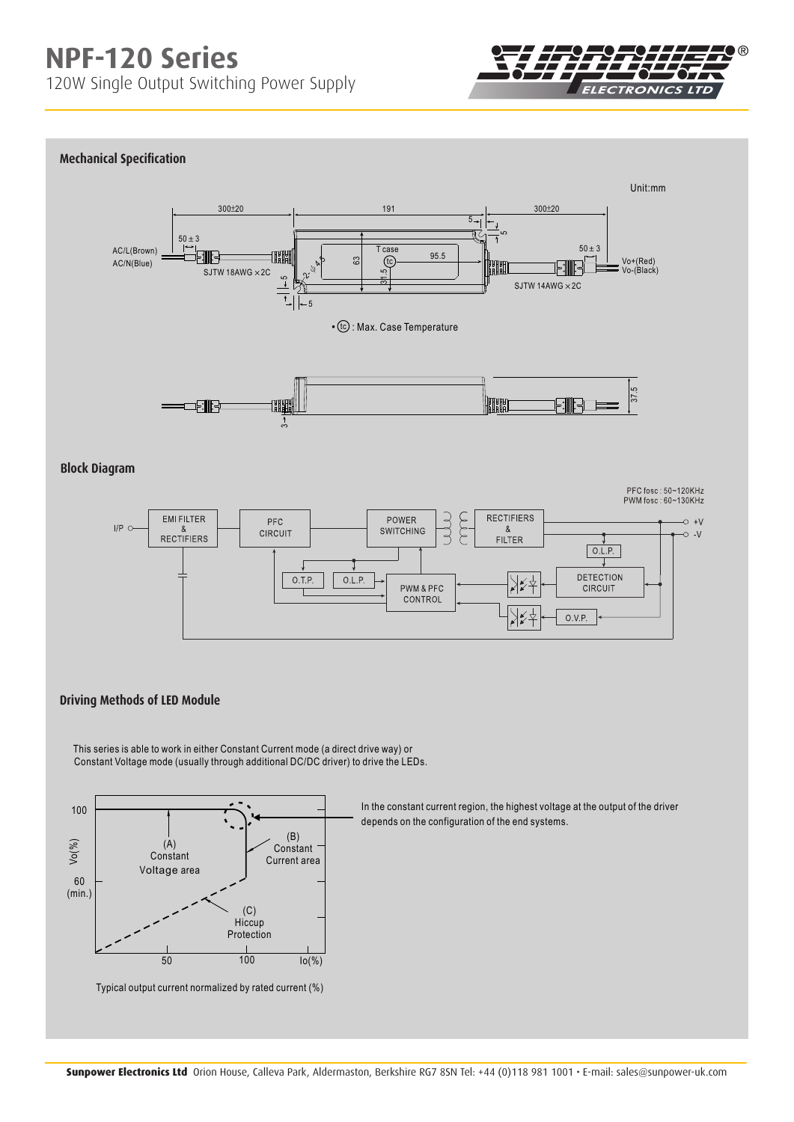

#### **Mechanical Specification**



#### **Block Diagram**

PFC fosc: 50~120KHz PWM fosc: 60~130KHz



### **Driving Methods of LED Module**

This series is able to work in either Constant Current mode (a direct drive way) or Constant Voltage mode (usually through additional DC/DC driver) to drive the LEDs.



In the constant current region, the highest voltage at the output of the driver depends on the configuration of the end systems.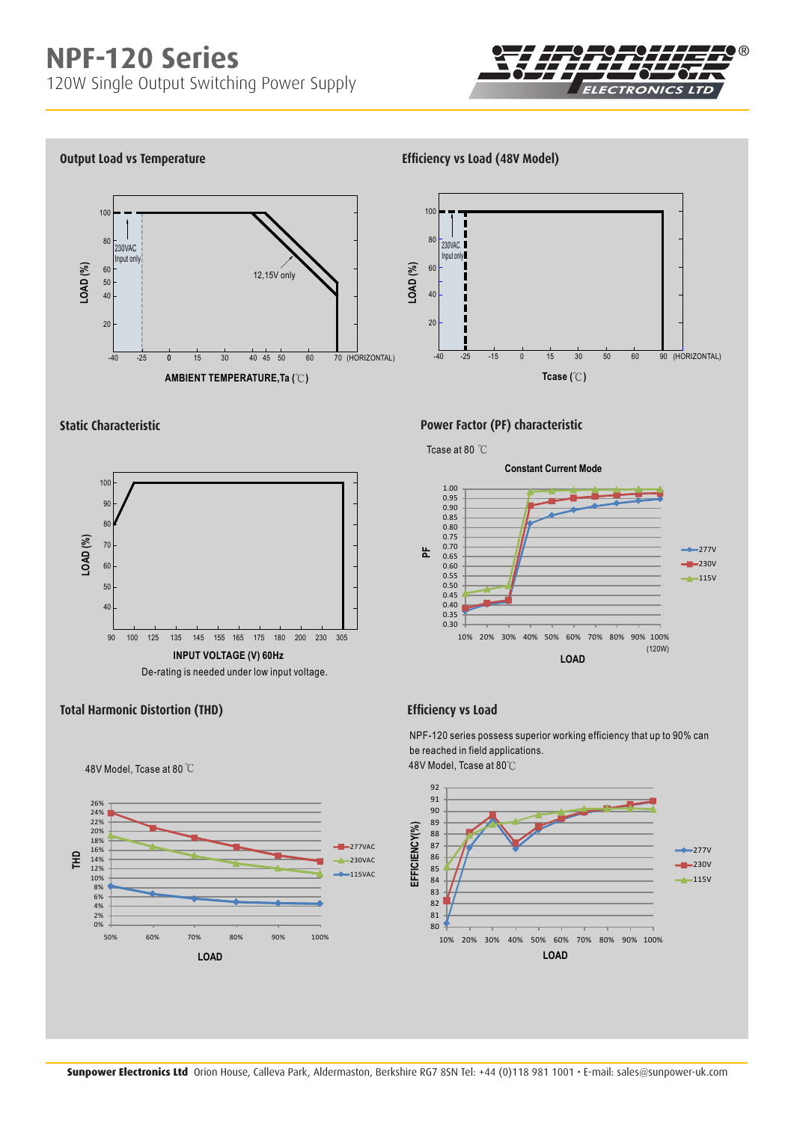

-15 0 15 30 50 60 90 (HORIZONTAL)

#### **Output Load vs Temperature Efficiency vs Load (48V Model)**



### **Static Characteristic**







## **Power Factor (PF) characteristic**



20

 $-40$ 

-25

 $40$ 60

80

230VAC Input on

100



**Tcase (°**C)

NPF-120 series possess superior working efficiency that up to 90% can be reached in field applications.